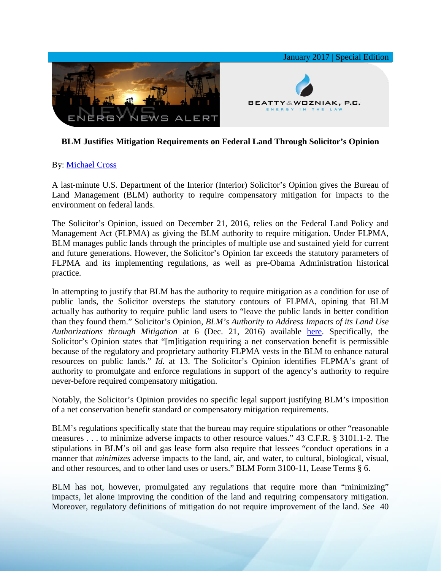

## **BLM Justifies Mitigation Requirements on Federal Land Through Solicitor's Opinion**

## By: [Michael Cross](http://www.bwenergylaw.com/michael-cross)

A last-minute U.S. Department of the Interior (Interior) Solicitor's Opinion gives the Bureau of Land Management (BLM) authority to require compensatory mitigation for impacts to the environment on federal lands.

The Solicitor's Opinion, issued on December 21, 2016, relies on the Federal Land Policy and Management Act (FLPMA) as giving the BLM authority to require mitigation. Under FLPMA, BLM manages public lands through the principles of multiple use and sustained yield for current and future generations. However, the Solicitor's Opinion far exceeds the statutory parameters of FLPMA and its implementing regulations, as well as pre-Obama Administration historical practice.

In attempting to justify that BLM has the authority to require mitigation as a condition for use of public lands, the Solicitor oversteps the statutory contours of FLPMA, opining that BLM actually has authority to require public land users to "leave the public lands in better condition than they found them." Solicitor's Opinion, *BLM's Authority to Address Impacts of its Land Use Authorizations through Mitigation* at 6 (Dec. 21, 2016) available [here.](https://solicitor.doi.gov/opinions/M-37039.pdf) Specifically, the Solicitor's Opinion states that "[m]itigation requiring a net conservation benefit is permissible because of the regulatory and proprietary authority FLPMA vests in the BLM to enhance natural resources on public lands." *Id.* at 13. The Solicitor's Opinion identifies FLPMA's grant of authority to promulgate and enforce regulations in support of the agency's authority to require never-before required compensatory mitigation.

Notably, the Solicitor's Opinion provides no specific legal support justifying BLM's imposition of a net conservation benefit standard or compensatory mitigation requirements.

BLM's regulations specifically state that the bureau may require stipulations or other "reasonable measures . . . to minimize adverse impacts to other resource values." 43 C.F.R. § 3101.1-2. The stipulations in BLM's oil and gas lease form also require that lessees "conduct operations in a manner that *minimizes* adverse impacts to the land, air, and water, to cultural, biological, visual, and other resources, and to other land uses or users." BLM Form 3100-11, Lease Terms § 6.

BLM has not, however, promulgated any regulations that require more than "minimizing" impacts, let alone improving the condition of the land and requiring compensatory mitigation. Moreover, regulatory definitions of mitigation do not require improvement of the land. *See* 40